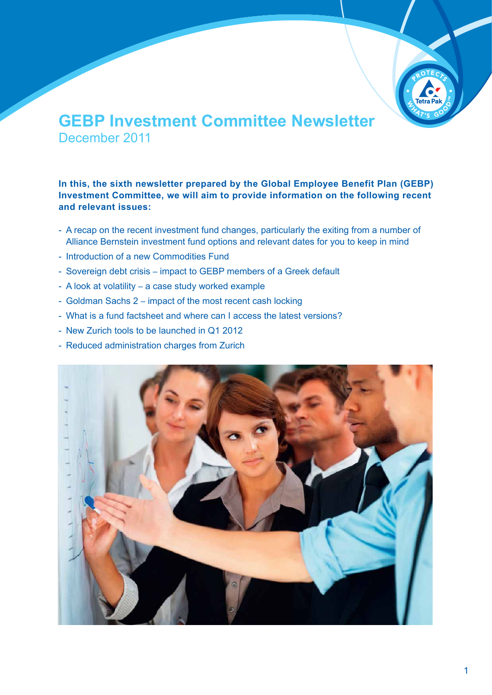

# **GEBP Investment Committee Newsletter** December 2011

**In this, the sixth newsletter prepared by the Global Employee Benefit Plan (GEBP) Investment Committee, we will aim to provide information on the following recent and relevant issues:**

- A recap on the recent investment fund changes, particularly the exiting from a number of Alliance Bernstein investment fund options and relevant dates for you to keep in mind
- Introduction of a new Commodities Fund
- Sovereign debt crisis impact to GEBP members of a Greek default
- A look at volatility a case study worked example
- Goldman Sachs 2 impact of the most recent cash locking
- What is a fund factsheet and where can I access the latest versions?
- New Zurich tools to be launched in Q1 2012
- Reduced administration charges from Zurich

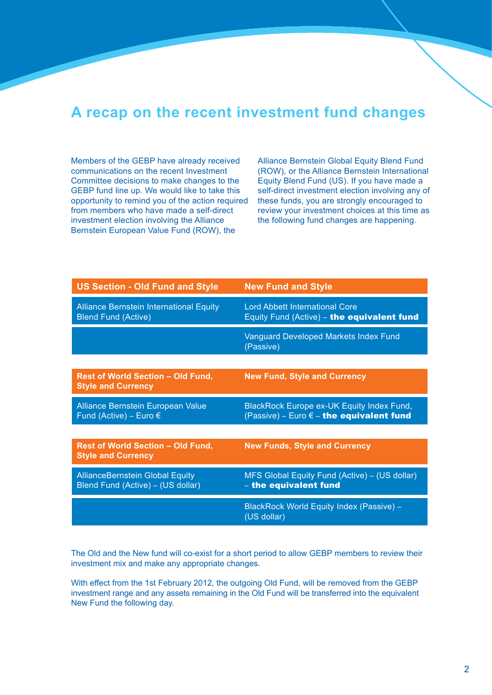## **A recap on the recent investment fund changes**

Members of the GEBP have already received communications on the recent Investment Committee decisions to make changes to the GEBP fund line up. We would like to take this opportunity to remind you of the action required from members who have made a self-direct investment election involving the Alliance Bernstein European Value Fund (ROW), the

Alliance Bernstein Global Equity Blend Fund (ROW), or the Alliance Bernstein International Equity Blend Fund (US). If you have made a self-direct investment election involving any of these funds, you are strongly encouraged to review your investment choices at this time as the following fund changes are happening.

| <b>US Section - Old Fund and Style</b>                                       | <b>New Fund and Style</b>                                                                      |
|------------------------------------------------------------------------------|------------------------------------------------------------------------------------------------|
| <b>Alliance Bernstein International Equity</b><br><b>Blend Fund (Active)</b> | <b>Lord Abbett International Core</b><br>Equity Fund (Active) - the equivalent fund            |
|                                                                              | Vanguard Developed Markets Index Fund<br>(Passive)                                             |
|                                                                              |                                                                                                |
| <b>Rest of World Section - Old Fund,</b><br><b>Style and Currency</b>        | <b>New Fund, Style and Currency</b>                                                            |
| Alliance Bernstein European Value<br>Fund (Active) – Euro $\epsilon$         | BlackRock Europe ex-UK Equity Index Fund,<br>(Passive) - Euro $\epsilon$ - the equivalent fund |
|                                                                              |                                                                                                |
| <b>Rest of World Section - Old Fund,</b><br><b>Style and Currency</b>        | <b>New Funds, Style and Currency</b>                                                           |
| <b>AllianceBernstein Global Equity</b><br>Blend Fund (Active) - (US dollar)  | MFS Global Equity Fund (Active) - (US dollar)<br>- the equivalent fund                         |
|                                                                              | BlackRock World Equity Index (Passive) -<br>(US dollar)                                        |

The Old and the New fund will co-exist for a short period to allow GEBP members to review their investment mix and make any appropriate changes.

With effect from the 1st February 2012, the outgoing Old Fund, will be removed from the GEBP investment range and any assets remaining in the Old Fund will be transferred into the equivalent New Fund the following day.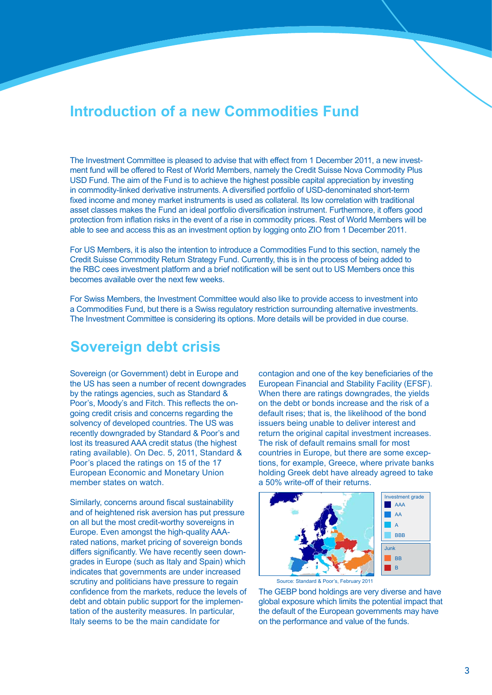## **Introduction of a new Commodities Fund**

The Investment Committee is pleased to advise that with effect from 1 December 2011, a new investment fund will be offered to Rest of World Members, namely the Credit Suisse Nova Commodity Plus USD Fund. The aim of the Fund is to achieve the highest possible capital appreciation by investing in commodity-linked derivative instruments. A diversified portfolio of USD-denominated short-term fixed income and money market instruments is used as collateral. Its low correlation with traditional asset classes makes the Fund an ideal portfolio diversification instrument. Furthermore, it offers good protection from inflation risks in the event of a rise in commodity prices. Rest of World Members will be able to see and access this as an investment option by logging onto ZIO from 1 December 2011.

For US Members, it is also the intention to introduce a Commodities Fund to this section, namely the Credit Suisse Commodity Return Strategy Fund. Currently, this is in the process of being added to the RBC cees investment platform and a brief notification will be sent out to US Members once this becomes available over the next few weeks.

For Swiss Members, the Investment Committee would also like to provide access to investment into a Commodities Fund, but there is a Swiss regulatory restriction surrounding alternative investments. The Investment Committee is considering its options. More details will be provided in due course.

# **Sovereign debt crisis**

Sovereign (or Government) debt in Europe and the US has seen a number of recent downgrades by the ratings agencies, such as Standard & Poor's, Moody's and Fitch. This reflects the ongoing credit crisis and concerns regarding the solvency of developed countries. The US was recently downgraded by Standard & Poor's and lost its treasured AAA credit status (the highest rating available). On Dec. 5, 2011, Standard & Poor's placed the ratings on 15 of the 17 European Economic and Monetary Union member states on watch.

Similarly, concerns around fiscal sustainability and of heightened risk aversion has put pressure on all but the most credit-worthy sovereigns in Europe. Even amongst the high-quality AAArated nations, market pricing of sovereign bonds differs significantly. We have recently seen downgrades in Europe (such as Italy and Spain) which indicates that governments are under increased scrutiny and politicians have pressure to regain confidence from the markets, reduce the levels of debt and obtain public support for the implementation of the austerity measures. In particular, Italy seems to be the main candidate for

contagion and one of the key beneficiaries of the European Financial and Stability Facility (EFSF). When there are ratings downgrades, the yields on the debt or bonds increase and the risk of a default rises; that is, the likelihood of the bond issuers being unable to deliver interest and return the original capital investment increases. The risk of default remains small for most countries in Europe, but there are some exceptions, for example, Greece, where private banks holding Greek debt have already agreed to take a 50% write-off of their returns.



Source: Standard & Poor's, February 2011

The GEBP bond holdings are very diverse and have global exposure which limits the potential impact that the default of the European governments may have on the performance and value of the funds.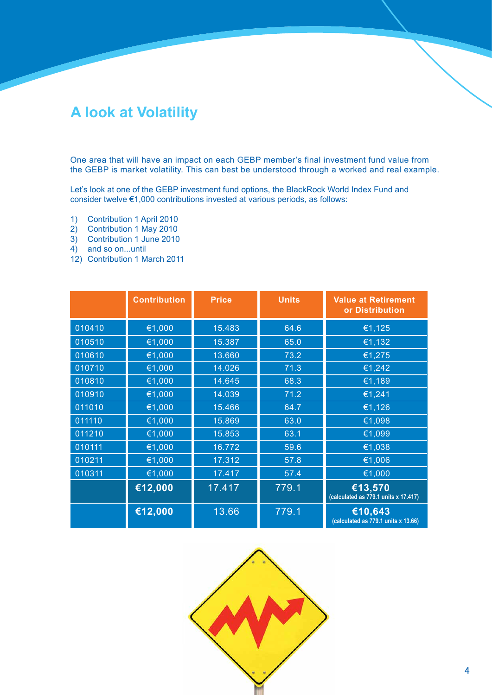# **A look at Volatility**

One area that will have an impact on each GEBP member's final investment fund value from the GEBP is market volatility. This can best be understood through a worked and real example.

Let's look at one of the GEBP investment fund options, the BlackRock World Index Fund and consider twelve €1,000 contributions invested at various periods, as follows:

- 1) Contribution 1 April 2010
- 2) Contribution 1 May 2010
- 3) Contribution 1 June 2010
- 4) and so on...until
- 12) Contribution 1 March 2011

|        | <b>Contribution</b> | <b>Price</b> | <b>Units</b> | <b>Value at Retirement</b><br>or Distribution   |
|--------|---------------------|--------------|--------------|-------------------------------------------------|
| 010410 | €1,000              | 15.483       | 64.6         | €1,125                                          |
| 010510 | €1,000              | 15.387       | 65.0         | €1,132                                          |
| 010610 | €1,000              | 13.660       | 73.2         | €1,275                                          |
| 010710 | €1,000              | 14.026       | 71.3         | €1,242                                          |
| 010810 | €1,000              | 14.645       | 68.3         | €1,189                                          |
| 010910 | €1,000              | 14.039       | 71.2         | €1,241                                          |
| 011010 | €1,000              | 15.466       | 64.7         | €1,126                                          |
| 011110 | €1,000              | 15.869       | 63.0         | €1,098                                          |
| 011210 | €1,000              | 15.853       | 63.1         | €1,099                                          |
| 010111 | €1,000              | 16.772       | 59.6         | €1,038                                          |
| 010211 | €1,000              | 17.312       | 57.8         | €1,006                                          |
| 010311 | €1,000              | 17.417       | 57.4         | €1,000                                          |
|        | €12,000             | 17.417       | 779.1        | €13,570<br>(calculated as 779.1 units x 17.417) |
|        | €12,000             | 13.66        | 779.1        | €10,643<br>(calculated as 779.1 units x 13.66)  |

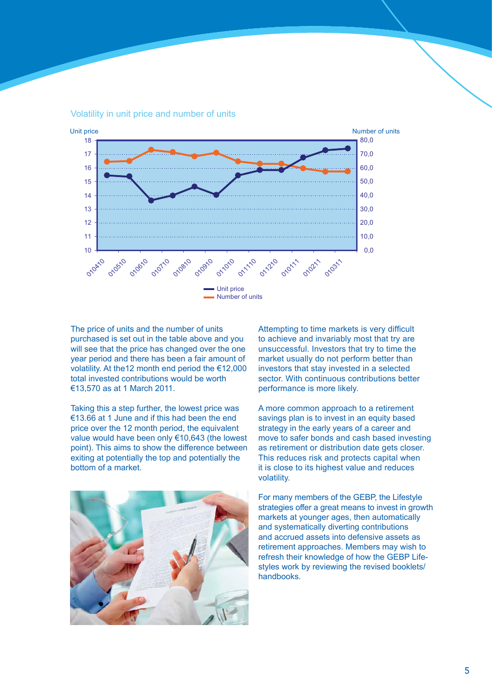

Volatility in unit price and number of units

The price of units and the number of units purchased is set out in the table above and you will see that the price has changed over the one year period and there has been a fair amount of volatility. At the12 month end period the €12,000 total invested contributions would be worth €13,570 as at 1 March 2011.

Taking this a step further, the lowest price was €13.66 at 1 June and if this had been the end price over the 12 month period, the equivalent value would have been only €10,643 (the lowest point). This aims to show the difference between exiting at potentially the top and potentially the bottom of a market.



Attempting to time markets is very difficult to achieve and invariably most that try are unsuccessful. Investors that try to time the market usually do not perform better than investors that stay invested in a selected sector. With continuous contributions better performance is more likely.

A more common approach to a retirement savings plan is to invest in an equity based strategy in the early years of a career and move to safer bonds and cash based investing as retirement or distribution date gets closer. This reduces risk and protects capital when it is close to its highest value and reduces volatility.

For many members of the GEBP, the Lifestyle strategies offer a great means to invest in growth markets at younger ages, then automatically and systematically diverting contributions and accrued assets into defensive assets as retirement approaches. Members may wish to refresh their knowledge of how the GEBP Lifestyles work by reviewing the revised booklets/ handbooks.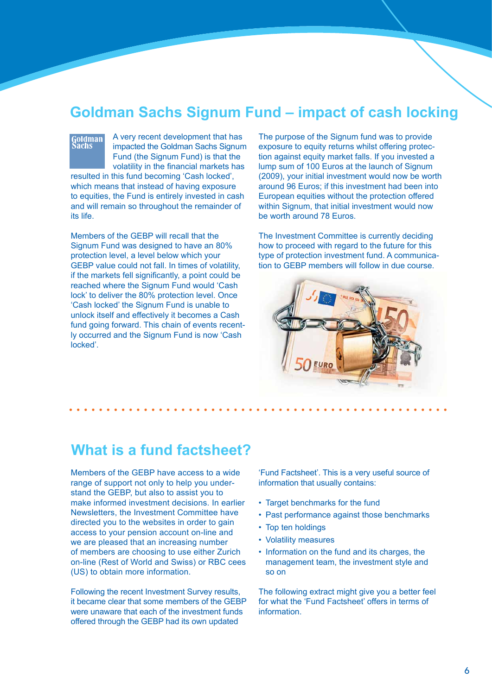## **Goldman Sachs Signum Fund – impact of cash locking**

# Goldman<br>Sachs

A very recent development that has impacted the Goldman Sachs Signum Fund (the Signum Fund) is that the volatility in the financial markets has

resulted in this fund becoming 'Cash locked', which means that instead of having exposure to equities, the Fund is entirely invested in cash and will remain so throughout the remainder of its life.

Members of the GEBP will recall that the Signum Fund was designed to have an 80% protection level, a level below which your GEBP value could not fall. In times of volatility, if the markets fell significantly, a point could be reached where the Signum Fund would 'Cash lock' to deliver the 80% protection level. Once 'Cash locked' the Signum Fund is unable to unlock itself and effectively it becomes a Cash fund going forward. This chain of events recently occurred and the Signum Fund is now 'Cash locked'.

The purpose of the Signum fund was to provide exposure to equity returns whilst offering protection against equity market falls. If you invested a lump sum of 100 Euros at the launch of Signum (2009), your initial investment would now be worth around 96 Euros; if this investment had been into European equities without the protection offered within Signum, that initial investment would now be worth around 78 Euros.

The Investment Committee is currently deciding how to proceed with regard to the future for this type of protection investment fund. A communication to GEBP members will follow in due course.



## **What is a fund factsheet?**

Members of the GEBP have access to a wide range of support not only to help you understand the GEBP, but also to assist you to make informed investment decisions. In earlier Newsletters, the Investment Committee have directed you to the websites in order to gain access to your pension account on-line and we are pleased that an increasing number of members are choosing to use either Zurich on-line (Rest of World and Swiss) or RBC cees (US) to obtain more information.

Following the recent Investment Survey results, it became clear that some members of the GEBP were unaware that each of the investment funds offered through the GEBP had its own updated

'Fund Factsheet'. This is a very useful source of information that usually contains:

- Target benchmarks for the fund
- Past performance against those benchmarks
- Top ten holdings
- Volatility measures
- Information on the fund and its charges, the management team, the investment style and so on

The following extract might give you a better feel for what the 'Fund Factsheet' offers in terms of **information**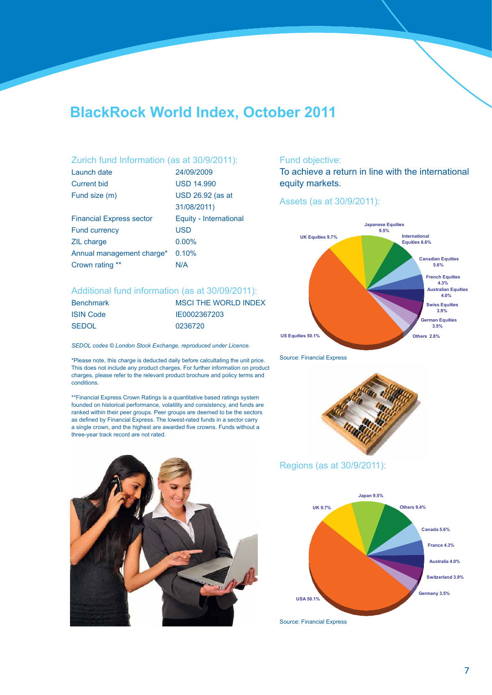# **BlackRock World Index, October 2011**

#### Zurich fund Information (as at 30/9/2011):

| Launch date                     | 24/09/2009             |
|---------------------------------|------------------------|
| <b>Current bid</b>              | <b>USD 14.990</b>      |
| Fund size (m)                   | USD 26.92 (as at       |
|                                 | 31/08/2011)            |
| <b>Financial Express sector</b> | Equity - International |
| <b>Fund currency</b>            | <b>USD</b>             |
| <b>ZIL charge</b>               | $0.00\%$               |
| Annual management charge*       | 0.10%                  |
| Crown rating **                 | N/A                    |

#### Additional fund information (as at 30/09/2011):

| <b>Benchmark</b> | <b>MSCI THE WORLD INDEX</b> |
|------------------|-----------------------------|
| <b>ISIN Code</b> | IE0002367203                |
| SEDOL            | 0236720                     |

*SEDOL codes © London Stock Exchange, reproduced under Licence.*

\*Please note, this charge is deducted daily before calcultating the unit price. This does not include any product charges. For further information on product charges, please refer to the relevant product brochure and policy terms and conditions.

\*\*Financial Express Crown Ratings is a quantitative based ratings system founded on historical performance, volatility and consistency, and funds are ranked within their peer groups. Peer groups are deemed to be the sectors as defined by Financial Express. The lowest-rated funds in a sector carry a single crown, and the highest are awarded five crowns. Funds without a three-year track record are not rated.



#### Fund objective:

To achieve a return in line with the international equity markets.

#### Assets (as at 30/9/2011):



Source: Financial Express



#### Regions (as at 30/9/2011):



Source: Financial Express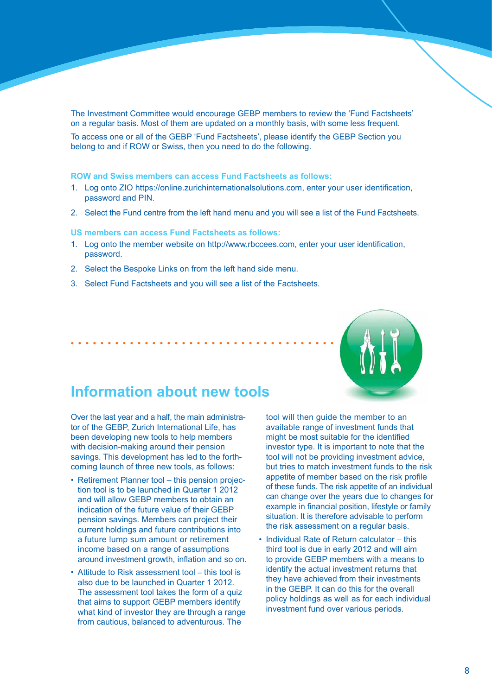The Investment Committee would encourage GEBP members to review the 'Fund Factsheets' on a regular basis. Most of them are updated on a monthly basis, with some less frequent.

To access one or all of the GEBP 'Fund Factsheets', please identify the GEBP Section you belong to and if ROW or Swiss, then you need to do the following.

#### **ROW and Swiss members can access Fund Factsheets as follows:**

- 1. Log onto ZIO https://online.zurichinternationalsolutions.com, enter your user identification, password and PIN.
- 2. Select the Fund centre from the left hand menu and you will see a list of the Fund Factsheets.

**US members can access Fund Factsheets as follows:**

- 1. Log onto the member website on http://www.rbccees.com, enter your user identification, password.
- 2. Select the Bespoke Links on from the left hand side menu.
- 3. Select Fund Factsheets and you will see a list of the Factsheets.



### **Information about new tools**

Over the last year and a half, the main administrator of the GEBP, Zurich International Life, has been developing new tools to help members with decision-making around their pension savings. This development has led to the forthcoming launch of three new tools, as follows:

- Retirement Planner tool this pension projection tool is to be launched in Quarter 1 2012 and will allow GEBP members to obtain an indication of the future value of their GEBP pension savings. Members can project their current holdings and future contributions into a future lump sum amount or retirement income based on a range of assumptions around investment growth, inflation and so on.
- Attitude to Risk assessment tool this tool is also due to be launched in Quarter 1 2012. The assessment tool takes the form of a quiz that aims to support GEBP members identify what kind of investor they are through a range from cautious, balanced to adventurous. The

tool will then guide the member to an available range of investment funds that might be most suitable for the identified investor type. It is important to note that the tool will not be providing investment advice, but tries to match investment funds to the risk appetite of member based on the risk profile of these funds. The risk appetite of an individual can change over the years due to changes for example in financial position, lifestyle or family situation. It is therefore advisable to perform the risk assessment on a regular basis.

• Individual Rate of Return calculator – this third tool is due in early 2012 and will aim to provide GEBP members with a means to identify the actual investment returns that they have achieved from their investments in the GEBP. It can do this for the overall policy holdings as well as for each individual investment fund over various periods.